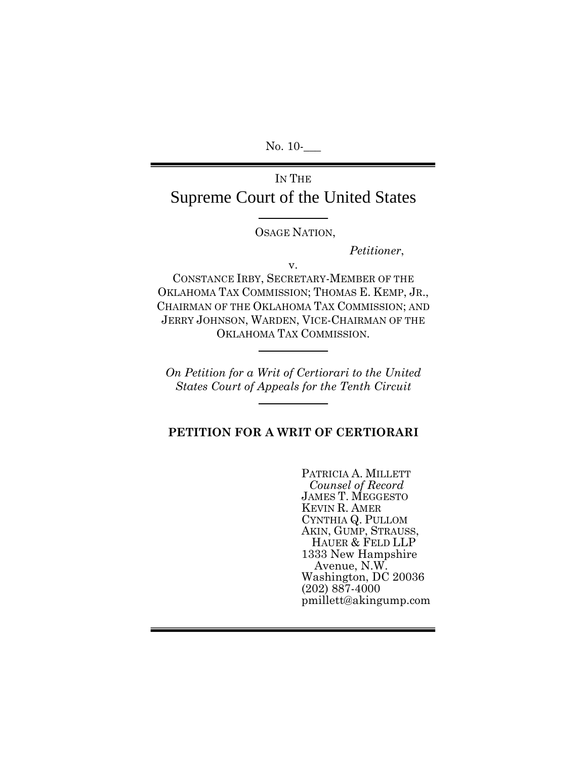No. 10-

IN THE Supreme Court of the United States

OSAGE NATION,

Petitioner,

v.

CONSTANCE IRBY, SECRETARY-MEMBER OF THE OKLAHOMA TAX COMMISSION; THOMAS E. KEMP, JR., CHAIRMAN OF THE OKLAHOMA TAX COMMISSION; AND JERRY JOHNSON, WARDEN, VICE-CHAIRMAN OF THE OKLAHOMA TAX COMMISSION.

On Petition for a Writ of Certiorari to the United States Court of Appeals for the Tenth Circuit

## PETITION FOR A WRIT OF CERTIORARI

PATRICIA A. MILLETT Counsel of Record JAMES T. MEGGESTO KEVIN R. AMER CYNTHIA Q. PULLOM AKIN, GUMP, STRAUSS, HAUER & FELD LLP 1333 New Hampshire Avenue, N.W. Washington, DC 20036 (202) 887-4000 pmillett@akingump.com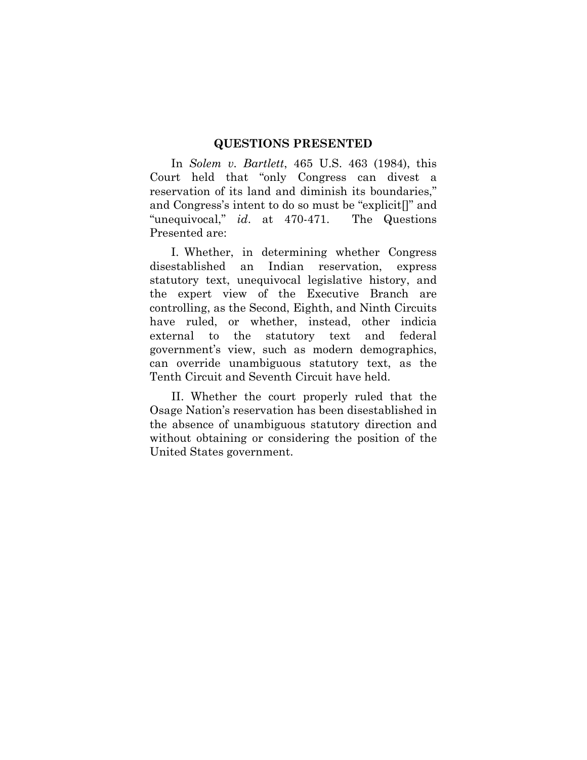### QUESTIONS PRESENTED

In Solem v. Bartlett, 465 U.S. 463 (1984), this Court held that "only Congress can divest a reservation of its land and diminish its boundaries," and Congress's intent to do so must be "explicit[]" and "unequivocal," id. at 470-471. The Questions Presented are:

I. Whether, in determining whether Congress disestablished an Indian reservation, express statutory text, unequivocal legislative history, and the expert view of the Executive Branch are controlling, as the Second, Eighth, and Ninth Circuits have ruled, or whether, instead, other indicia external to the statutory text and federal government's view, such as modern demographics, can override unambiguous statutory text, as the Tenth Circuit and Seventh Circuit have held.

II. Whether the court properly ruled that the Osage Nation's reservation has been disestablished in the absence of unambiguous statutory direction and without obtaining or considering the position of the United States government.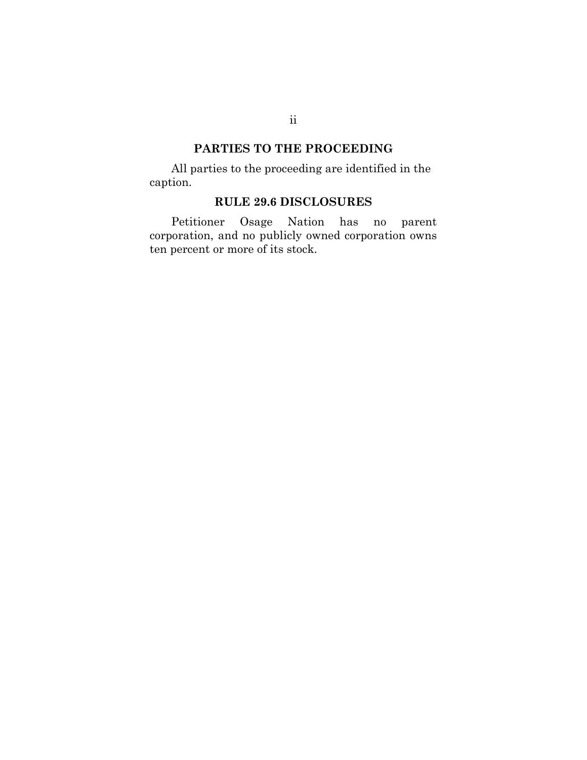### PARTIES TO THE PROCEEDING

All parties to the proceeding are identified in the caption.

### RULE 29.6 DISCLOSURES

Petitioner Osage Nation has no parent corporation, and no publicly owned corporation owns ten percent or more of its stock.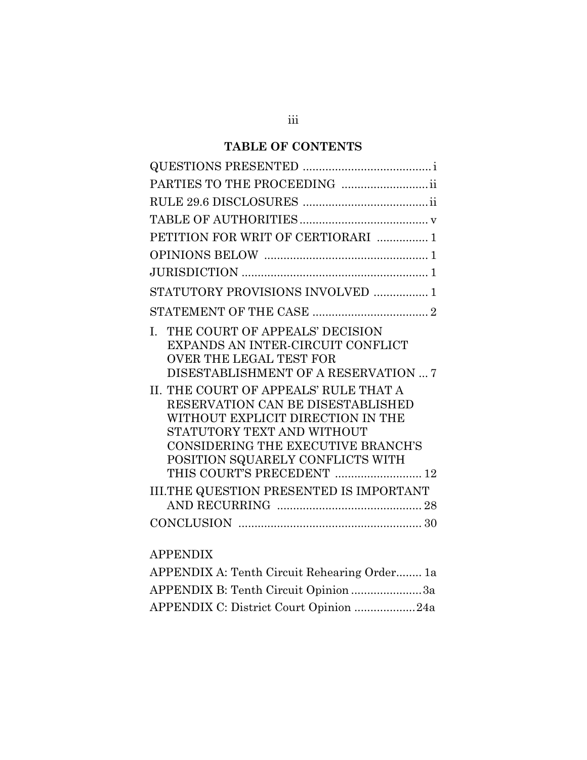# TABLE OF CONTENTS

| PARTIES TO THE PROCEEDING  ii                                                                                                                                                                                                                                                                                                                                                                                       |
|---------------------------------------------------------------------------------------------------------------------------------------------------------------------------------------------------------------------------------------------------------------------------------------------------------------------------------------------------------------------------------------------------------------------|
|                                                                                                                                                                                                                                                                                                                                                                                                                     |
|                                                                                                                                                                                                                                                                                                                                                                                                                     |
| PETITION FOR WRIT OF CERTIORARI  1                                                                                                                                                                                                                                                                                                                                                                                  |
|                                                                                                                                                                                                                                                                                                                                                                                                                     |
|                                                                                                                                                                                                                                                                                                                                                                                                                     |
| STATUTORY PROVISIONS INVOLVED  1                                                                                                                                                                                                                                                                                                                                                                                    |
|                                                                                                                                                                                                                                                                                                                                                                                                                     |
| THE COURT OF APPEALS' DECISION<br>I.<br>EXPANDS AN INTER-CIRCUIT CONFLICT<br><b>OVER THE LEGAL TEST FOR</b><br>DISESTABLISHMENT OF A RESERVATION  7<br>II. THE COURT OF APPEALS' RULE THAT A<br>RESERVATION CAN BE DISESTABLISHED<br>WITHOUT EXPLICIT DIRECTION IN THE<br>STATUTORY TEXT AND WITHOUT<br><b>CONSIDERING THE EXECUTIVE BRANCH'S</b><br>POSITION SQUARELY CONFLICTS WITH<br>THIS COURT'S PRECEDENT  12 |
| III.THE QUESTION PRESENTED IS IMPORTANT                                                                                                                                                                                                                                                                                                                                                                             |
|                                                                                                                                                                                                                                                                                                                                                                                                                     |
|                                                                                                                                                                                                                                                                                                                                                                                                                     |

# APPENDIX

| APPENDIX A: Tenth Circuit Rehearing Order 1a |  |
|----------------------------------------------|--|
| APPENDIX B: Tenth Circuit Opinion 3a         |  |
| APPENDIX C: District Court Opinion 24a       |  |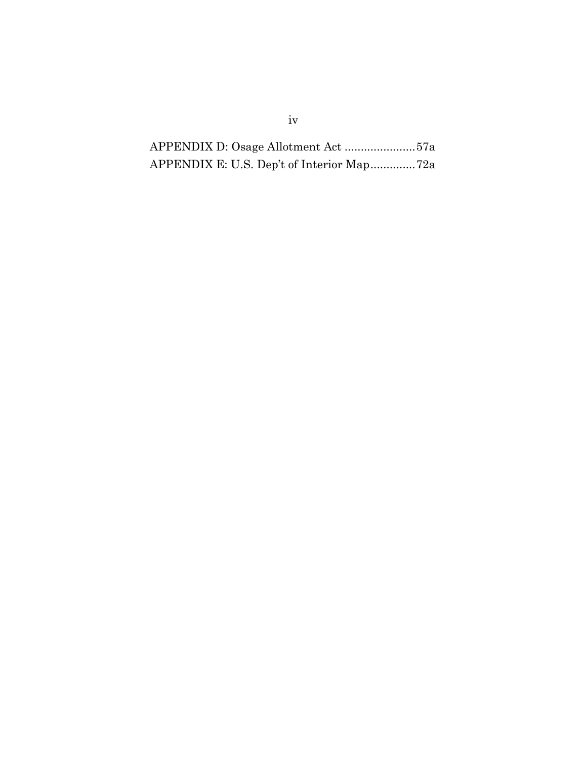APPENDIX D: Osage Allotment Act ...................... 57a APPENDIX E: U.S. Dep't of Interior Map .............. 72a

## iv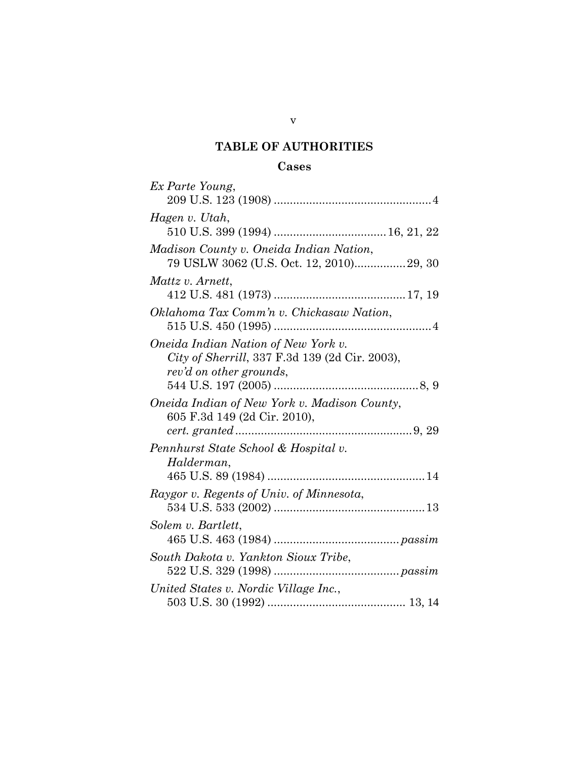# TABLE OF AUTHORITIES

## Cases

| Ex Parte Young,                                |
|------------------------------------------------|
| Hagen v. Utah,                                 |
|                                                |
| Madison County v. Oneida Indian Nation,        |
|                                                |
| Mattz v. Arnett,                               |
|                                                |
| Oklahoma Tax Comm'n v. Chickasaw Nation,       |
| Oneida Indian Nation of New York v.            |
| City of Sherrill, 337 F.3d 139 (2d Cir. 2003), |
| rev'd on other grounds,                        |
|                                                |
| Oneida Indian of New York v. Madison County,   |
| 605 F.3d 149 (2d Cir. 2010),                   |
|                                                |
| Pennhurst State School & Hospital v.           |
| Halderman,                                     |
|                                                |
| Raygor v. Regents of Univ. of Minnesota,       |
|                                                |
| Solem v. Bartlett,                             |
|                                                |
| South Dakota v. Yankton Sioux Tribe,           |
|                                                |
| United States v. Nordic Village Inc.,          |
|                                                |

v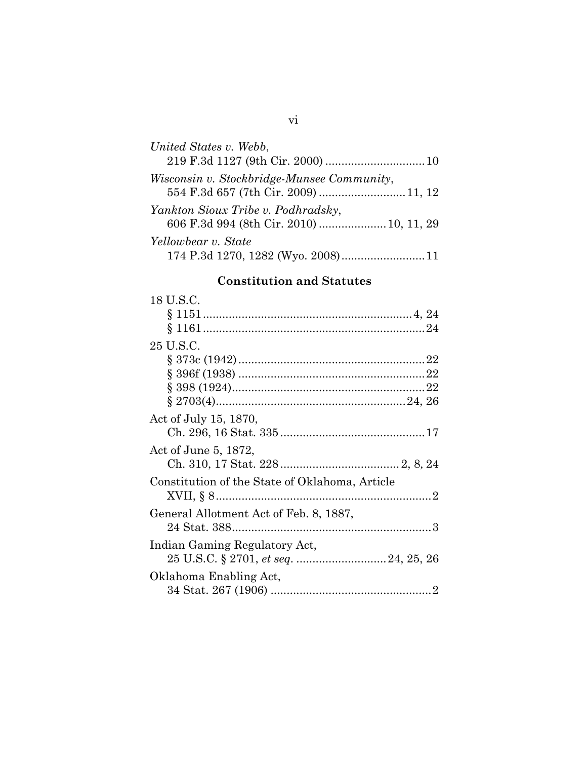| United States v. Webb,                     |
|--------------------------------------------|
|                                            |
| Wisconsin v. Stockbridge-Munsee Community, |
|                                            |
| Yankton Sioux Tribe v. Podhradsky,         |
| 606 F.3d 994 (8th Cir. 2010)  10, 11, 29   |
| Yellowbear v. State                        |
|                                            |

vi

# Constitution and Statutes

| 18 U.S.C.                                      |
|------------------------------------------------|
|                                                |
|                                                |
| 25 U.S.C.                                      |
|                                                |
|                                                |
|                                                |
|                                                |
| Act of July 15, 1870,                          |
|                                                |
| Act of June 5, 1872,                           |
|                                                |
| Constitution of the State of Oklahoma, Article |
|                                                |
| General Allotment Act of Feb. 8, 1887,         |
|                                                |
| Indian Gaming Regulatory Act,                  |
|                                                |
| Oklahoma Enabling Act,                         |
|                                                |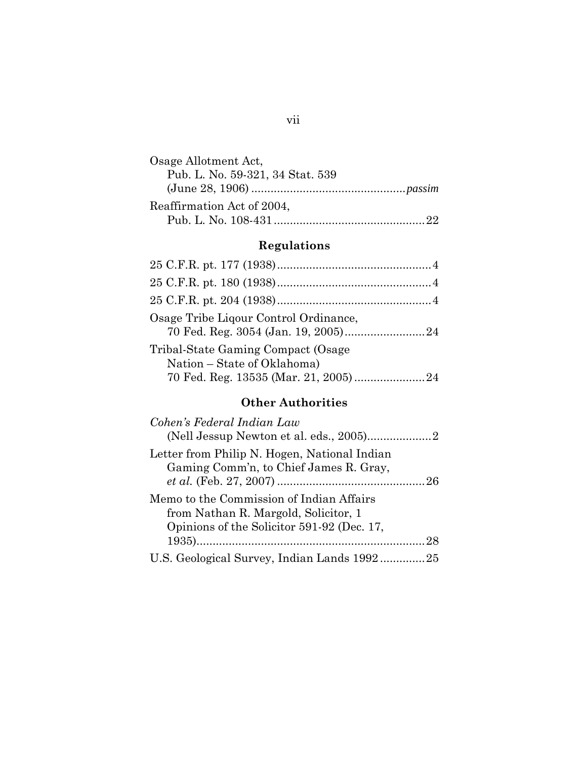| Osage Allotment Act,             |
|----------------------------------|
| Pub. L. No. 59-321, 34 Stat. 539 |
|                                  |
| Reaffirmation Act of 2004,       |
|                                  |

# Regulations

| Osage Tribe Liqour Control Ordinance,                             |
|-------------------------------------------------------------------|
| Tribal-State Gaming Compact (Osage<br>Nation – State of Oklahoma) |
|                                                                   |

# Other Authorities

| Cohen's Federal Indian Law                                                                                                     |  |
|--------------------------------------------------------------------------------------------------------------------------------|--|
|                                                                                                                                |  |
| Letter from Philip N. Hogen, National Indian<br>Gaming Comm'n, to Chief James R. Gray,                                         |  |
| Memo to the Commission of Indian Affairs<br>from Nathan R. Margold, Solicitor, 1<br>Opinions of the Solicitor 591-92 (Dec. 17, |  |
|                                                                                                                                |  |
| U.S. Geological Survey, Indian Lands 199225                                                                                    |  |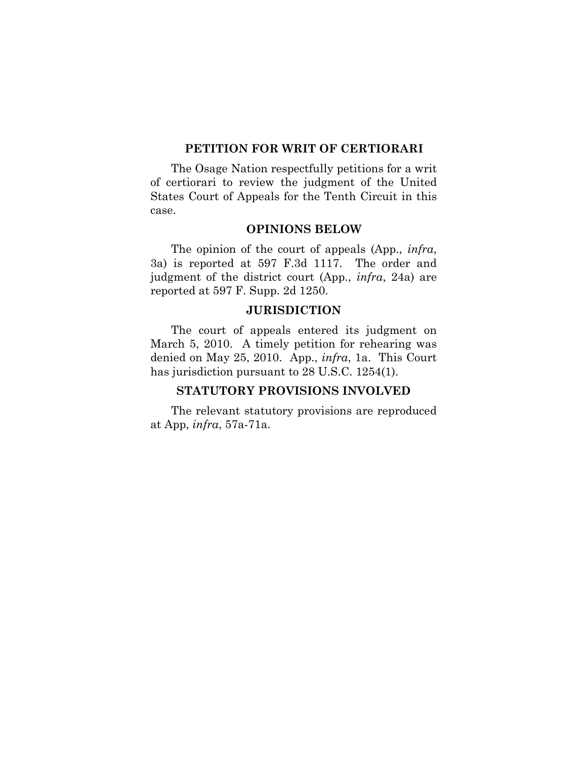### PETITION FOR WRIT OF CERTIORARI

The Osage Nation respectfully petitions for a writ of certiorari to review the judgment of the United States Court of Appeals for the Tenth Circuit in this case.

### OPINIONS BELOW

The opinion of the court of appeals (App., *infra*, 3a) is reported at 597 F.3d 1117. The order and judgment of the district court (App., infra, 24a) are reported at 597 F. Supp. 2d 1250.

### **JURISDICTION**

The court of appeals entered its judgment on March 5, 2010. A timely petition for rehearing was denied on May 25, 2010. App., infra, 1a. This Court has jurisdiction pursuant to 28 U.S.C. 1254(1).

### STATUTORY PROVISIONS INVOLVED

The relevant statutory provisions are reproduced at App,  $\inf \{a, 57a-71a\}$ .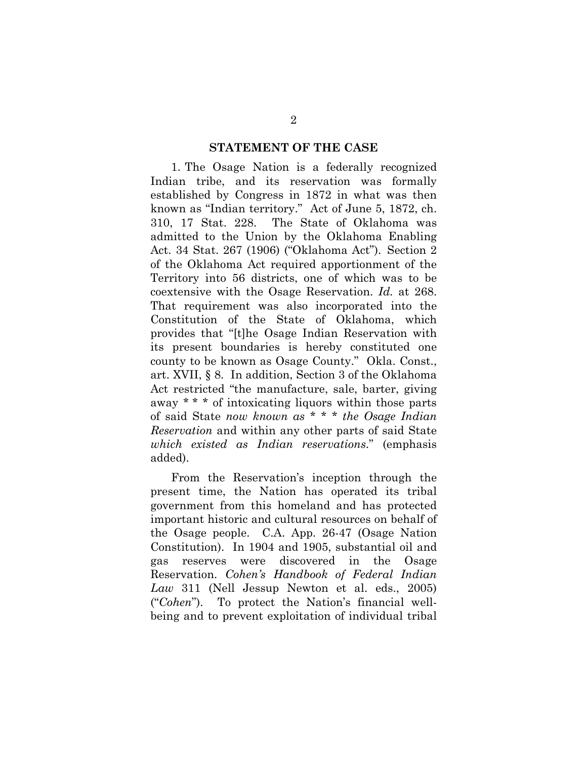### STATEMENT OF THE CASE

1. The Osage Nation is a federally recognized Indian tribe, and its reservation was formally established by Congress in 1872 in what was then known as "Indian territory." Act of June 5, 1872, ch. 310, 17 Stat. 228. The State of Oklahoma was admitted to the Union by the Oklahoma Enabling Act. 34 Stat. 267 (1906) ("Oklahoma Act"). Section 2 of the Oklahoma Act required apportionment of the Territory into 56 districts, one of which was to be coextensive with the Osage Reservation. Id. at 268. That requirement was also incorporated into the Constitution of the State of Oklahoma, which provides that "[t]he Osage Indian Reservation with its present boundaries is hereby constituted one county to be known as Osage County." Okla. Const., art. XVII, § 8. In addition, Section 3 of the Oklahoma Act restricted "the manufacture, sale, barter, giving away \* \* \* of intoxicating liquors within those parts of said State now known as  $* * * the Osage Indian$ Reservation and within any other parts of said State which existed as Indian reservations." (emphasis added).

From the Reservation's inception through the present time, the Nation has operated its tribal government from this homeland and has protected important historic and cultural resources on behalf of the Osage people. C.A. App. 26-47 (Osage Nation Constitution). In 1904 and 1905, substantial oil and gas reserves were discovered in the Osage Reservation. Cohen's Handbook of Federal Indian Law 311 (Nell Jessup Newton et al. eds., 2005) ("Cohen"). To protect the Nation's financial wellbeing and to prevent exploitation of individual tribal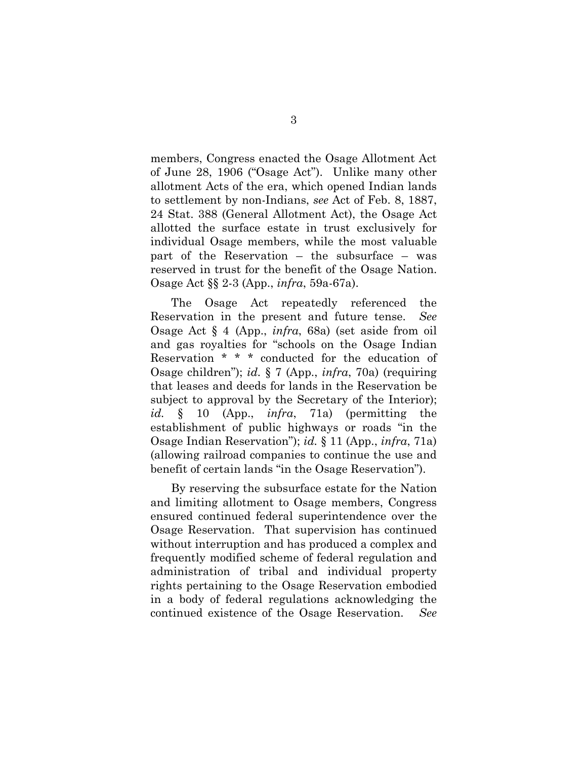members, Congress enacted the Osage Allotment Act of June 28, 1906 ("Osage Act"). Unlike many other allotment Acts of the era, which opened Indian lands to settlement by non-Indians, see Act of Feb. 8, 1887, 24 Stat. 388 (General Allotment Act), the Osage Act allotted the surface estate in trust exclusively for individual Osage members, while the most valuable part of the Reservation – the subsurface – was reserved in trust for the benefit of the Osage Nation. Osage Act §§ 2-3 (App., infra, 59a-67a).

The Osage Act repeatedly referenced the Reservation in the present and future tense. See Osage Act § 4 (App., infra, 68a) (set aside from oil and gas royalties for "schools on the Osage Indian Reservation \* \* \* conducted for the education of Osage children"); id.  $\S 7$  (App., infra, 70a) (requiring that leases and deeds for lands in the Reservation be subject to approval by the Secretary of the Interior); id. § 10 (App., *infra*, 71a) (permitting the establishment of public highways or roads "in the Osage Indian Reservation"); id. § 11 (App., infra, 71a) (allowing railroad companies to continue the use and benefit of certain lands "in the Osage Reservation").

By reserving the subsurface estate for the Nation and limiting allotment to Osage members, Congress ensured continued federal superintendence over the Osage Reservation. That supervision has continued without interruption and has produced a complex and frequently modified scheme of federal regulation and administration of tribal and individual property rights pertaining to the Osage Reservation embodied in a body of federal regulations acknowledging the continued existence of the Osage Reservation. See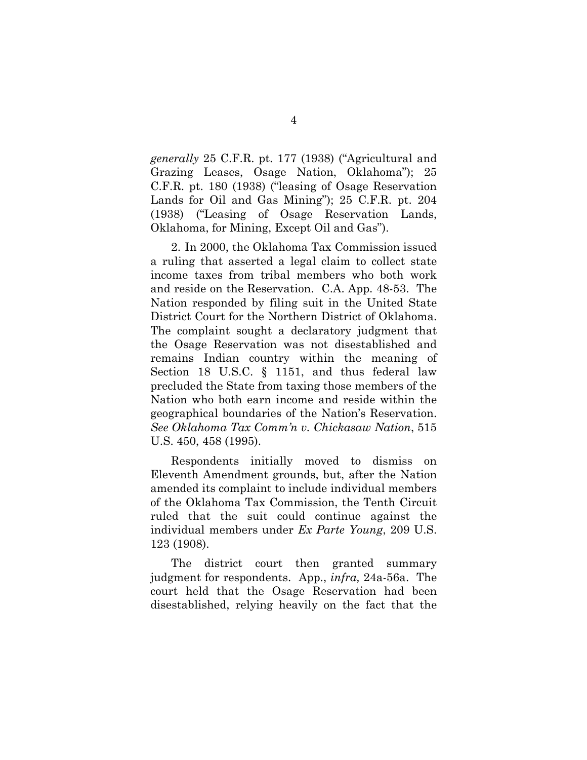generally 25 C.F.R. pt. 177 (1938) ("Agricultural and Grazing Leases, Osage Nation, Oklahoma"); 25 C.F.R. pt. 180 (1938) ("leasing of Osage Reservation Lands for Oil and Gas Mining"); 25 C.F.R. pt. 204 (1938) ("Leasing of Osage Reservation Lands, Oklahoma, for Mining, Except Oil and Gas").

2. In 2000, the Oklahoma Tax Commission issued a ruling that asserted a legal claim to collect state income taxes from tribal members who both work and reside on the Reservation. C.A. App. 48-53. The Nation responded by filing suit in the United State District Court for the Northern District of Oklahoma. The complaint sought a declaratory judgment that the Osage Reservation was not disestablished and remains Indian country within the meaning of Section 18 U.S.C. § 1151, and thus federal law precluded the State from taxing those members of the Nation who both earn income and reside within the geographical boundaries of the Nation's Reservation. See Oklahoma Tax Comm'n v. Chickasaw Nation, 515 U.S. 450, 458 (1995).

Respondents initially moved to dismiss on Eleventh Amendment grounds, but, after the Nation amended its complaint to include individual members of the Oklahoma Tax Commission, the Tenth Circuit ruled that the suit could continue against the individual members under Ex Parte Young, 209 U.S. 123 (1908).

The district court then granted summary judgment for respondents. App., infra, 24a-56a. The court held that the Osage Reservation had been disestablished, relying heavily on the fact that the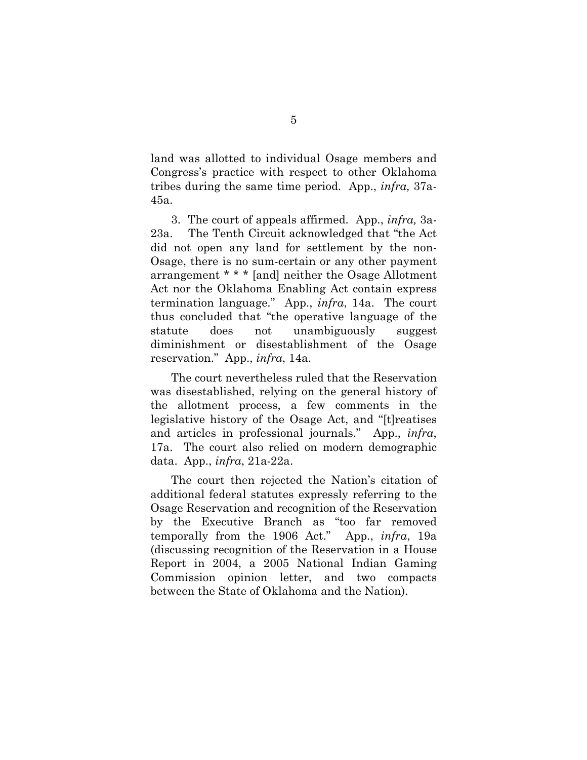land was allotted to individual Osage members and Congress's practice with respect to other Oklahoma tribes during the same time period. App., infra, 37a-45a.

3. The court of appeals affirmed. App., infra, 3a-23a. The Tenth Circuit acknowledged that "the Act did not open any land for settlement by the non-Osage, there is no sum-certain or any other payment arrangement \* \* \* [and] neither the Osage Allotment Act nor the Oklahoma Enabling Act contain express termination language." App., infra, 14a. The court thus concluded that "the operative language of the statute does not unambiguously suggest diminishment or disestablishment of the Osage reservation." App., infra, 14a.

The court nevertheless ruled that the Reservation was disestablished, relying on the general history of the allotment process, a few comments in the legislative history of the Osage Act, and "[t]reatises and articles in professional journals." App., infra, 17a. The court also relied on modern demographic data. App.,  $\inf$ ra, 21a-22a.

The court then rejected the Nation's citation of additional federal statutes expressly referring to the Osage Reservation and recognition of the Reservation by the Executive Branch as "too far removed temporally from the 1906 Act." App., infra, 19a (discussing recognition of the Reservation in a House Report in 2004, a 2005 National Indian Gaming Commission opinion letter, and two compacts between the State of Oklahoma and the Nation).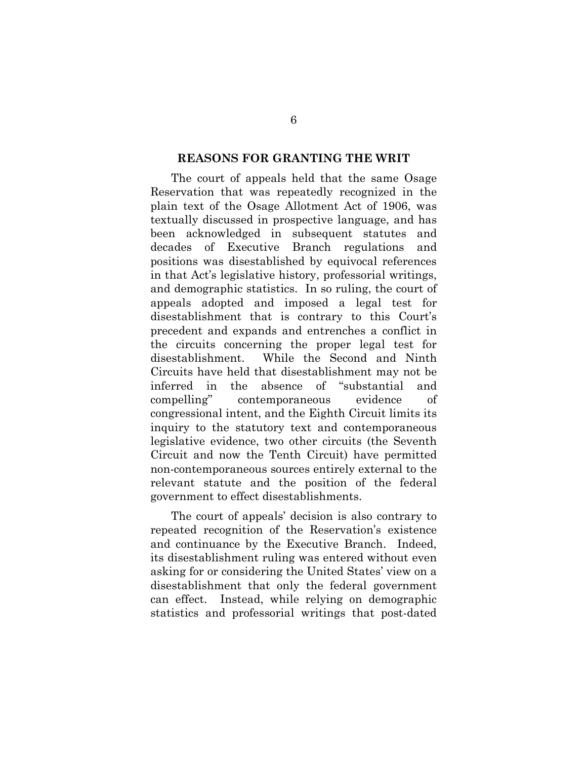### REASONS FOR GRANTING THE WRIT

The court of appeals held that the same Osage Reservation that was repeatedly recognized in the plain text of the Osage Allotment Act of 1906, was textually discussed in prospective language, and has been acknowledged in subsequent statutes and decades of Executive Branch regulations and positions was disestablished by equivocal references in that Act's legislative history, professorial writings, and demographic statistics. In so ruling, the court of appeals adopted and imposed a legal test for disestablishment that is contrary to this Court's precedent and expands and entrenches a conflict in the circuits concerning the proper legal test for disestablishment. While the Second and Ninth Circuits have held that disestablishment may not be inferred in the absence of "substantial and compelling" contemporaneous evidence of congressional intent, and the Eighth Circuit limits its inquiry to the statutory text and contemporaneous legislative evidence, two other circuits (the Seventh Circuit and now the Tenth Circuit) have permitted non-contemporaneous sources entirely external to the relevant statute and the position of the federal government to effect disestablishments.

The court of appeals' decision is also contrary to repeated recognition of the Reservation's existence and continuance by the Executive Branch. Indeed, its disestablishment ruling was entered without even asking for or considering the United States' view on a disestablishment that only the federal government can effect. Instead, while relying on demographic statistics and professorial writings that post-dated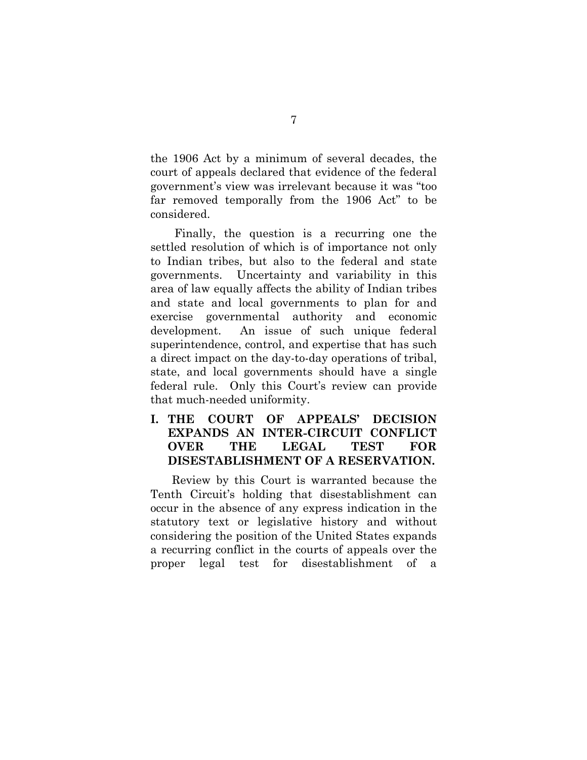the 1906 Act by a minimum of several decades, the court of appeals declared that evidence of the federal government's view was irrelevant because it was "too far removed temporally from the 1906 Act" to be considered.

 Finally, the question is a recurring one the settled resolution of which is of importance not only to Indian tribes, but also to the federal and state governments. Uncertainty and variability in this area of law equally affects the ability of Indian tribes and state and local governments to plan for and exercise governmental authority and economic development. An issue of such unique federal superintendence, control, and expertise that has such a direct impact on the day-to-day operations of tribal, state, and local governments should have a single federal rule. Only this Court's review can provide that much-needed uniformity.

I. THE COURT OF APPEALS' DECISION EXPANDS AN INTER-CIRCUIT CONFLICT OVER THE LEGAL TEST FOR DISESTABLISHMENT OF A RESERVATION.

Review by this Court is warranted because the Tenth Circuit's holding that disestablishment can occur in the absence of any express indication in the statutory text or legislative history and without considering the position of the United States expands a recurring conflict in the courts of appeals over the proper legal test for disestablishment of a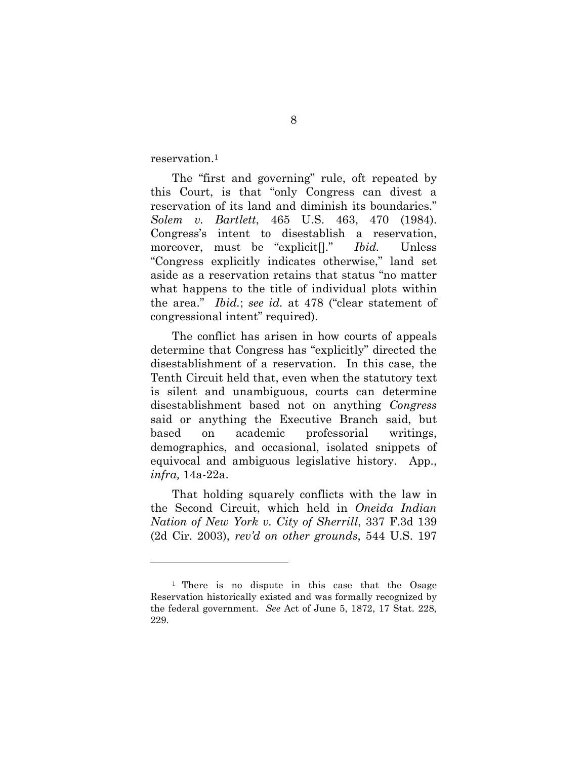reservation.<sup>1</sup>

 $\overline{a}$ 

The "first and governing" rule, oft repeated by this Court, is that "only Congress can divest a reservation of its land and diminish its boundaries." Solem v. Bartlett, 465 U.S. 463, 470 (1984). Congress's intent to disestablish a reservation, moreover, must be "explicit<sup>[]</sup>." *Ibid*. Unless "Congress explicitly indicates otherwise," land set aside as a reservation retains that status "no matter what happens to the title of individual plots within the area." Ibid.; see id. at 478 ("clear statement of congressional intent" required).

The conflict has arisen in how courts of appeals determine that Congress has "explicitly" directed the disestablishment of a reservation. In this case, the Tenth Circuit held that, even when the statutory text is silent and unambiguous, courts can determine disestablishment based not on anything Congress said or anything the Executive Branch said, but based on academic professorial writings, demographics, and occasional, isolated snippets of equivocal and ambiguous legislative history. App., infra, 14a-22a.

That holding squarely conflicts with the law in the Second Circuit, which held in Oneida Indian Nation of New York v. City of Sherrill, 337 F.3d 139 (2d Cir. 2003), rev'd on other grounds, 544 U.S. 197

<sup>&</sup>lt;sup>1</sup> There is no dispute in this case that the Osage Reservation historically existed and was formally recognized by the federal government. See Act of June 5, 1872, 17 Stat. 228, 229.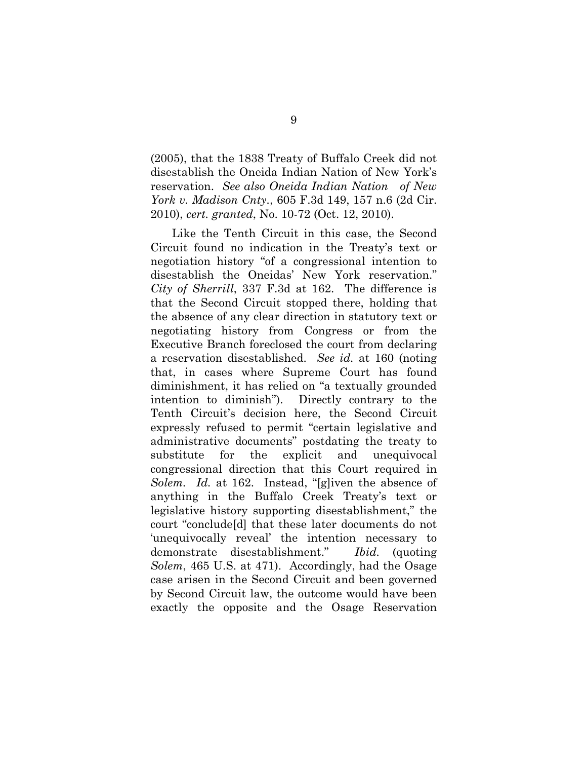(2005), that the 1838 Treaty of Buffalo Creek did not disestablish the Oneida Indian Nation of New York's reservation. See also Oneida Indian Nation of New York v. Madison Cnty., 605 F.3d 149, 157 n.6 (2d Cir. 2010), cert. granted, No. 10-72 (Oct. 12, 2010).

Like the Tenth Circuit in this case, the Second Circuit found no indication in the Treaty's text or negotiation history "of a congressional intention to disestablish the Oneidas' New York reservation." City of Sherrill, 337 F.3d at 162. The difference is that the Second Circuit stopped there, holding that the absence of any clear direction in statutory text or negotiating history from Congress or from the Executive Branch foreclosed the court from declaring a reservation disestablished. See id. at 160 (noting that, in cases where Supreme Court has found diminishment, it has relied on "a textually grounded intention to diminish"). Directly contrary to the Tenth Circuit's decision here, the Second Circuit expressly refused to permit "certain legislative and administrative documents" postdating the treaty to substitute for the explicit and unequivocal congressional direction that this Court required in Solem. Id. at 162. Instead, "[g]iven the absence of anything in the Buffalo Creek Treaty's text or legislative history supporting disestablishment," the court "conclude[d] that these later documents do not 'unequivocally reveal' the intention necessary to demonstrate disestablishment." Ibid. (quoting Solem, 465 U.S. at 471). Accordingly, had the Osage case arisen in the Second Circuit and been governed by Second Circuit law, the outcome would have been exactly the opposite and the Osage Reservation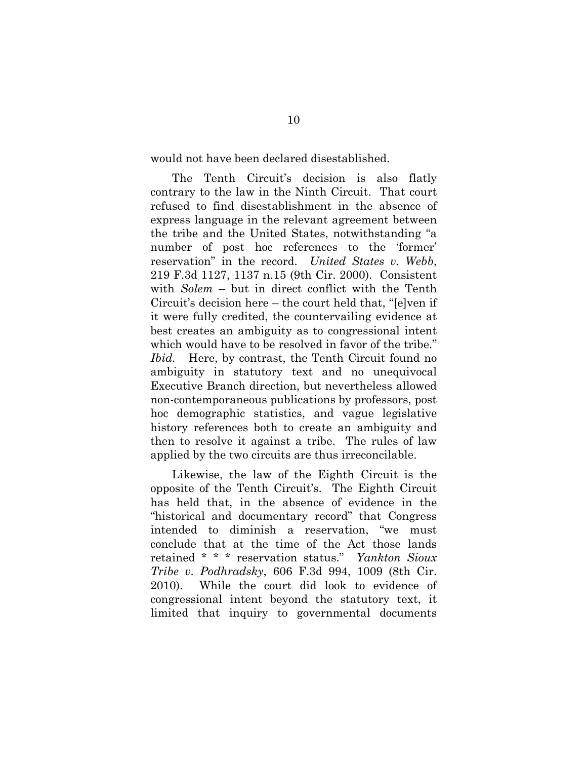would not have been declared disestablished.

The Tenth Circuit's decision is also flatly contrary to the law in the Ninth Circuit. That court refused to find disestablishment in the absence of express language in the relevant agreement between the tribe and the United States, notwithstanding "a number of post hoc references to the 'former' reservation" in the record. United States v. Webb, 219 F.3d 1127, 1137 n.15 (9th Cir. 2000). Consistent with *Solem* – but in direct conflict with the Tenth Circuit's decision here – the court held that, "[e]ven if it were fully credited, the countervailing evidence at best creates an ambiguity as to congressional intent which would have to be resolved in favor of the tribe." Ibid. Here, by contrast, the Tenth Circuit found no ambiguity in statutory text and no unequivocal Executive Branch direction, but nevertheless allowed non-contemporaneous publications by professors, post hoc demographic statistics, and vague legislative history references both to create an ambiguity and then to resolve it against a tribe. The rules of law applied by the two circuits are thus irreconcilable.

Likewise, the law of the Eighth Circuit is the opposite of the Tenth Circuit's. The Eighth Circuit has held that, in the absence of evidence in the "historical and documentary record" that Congress intended to diminish a reservation, "we must conclude that at the time of the Act those lands retained \* \* \* reservation status." Yankton Sioux Tribe v. Podhradsky, 606 F.3d 994, 1009 (8th Cir. 2010). While the court did look to evidence of congressional intent beyond the statutory text, it limited that inquiry to governmental documents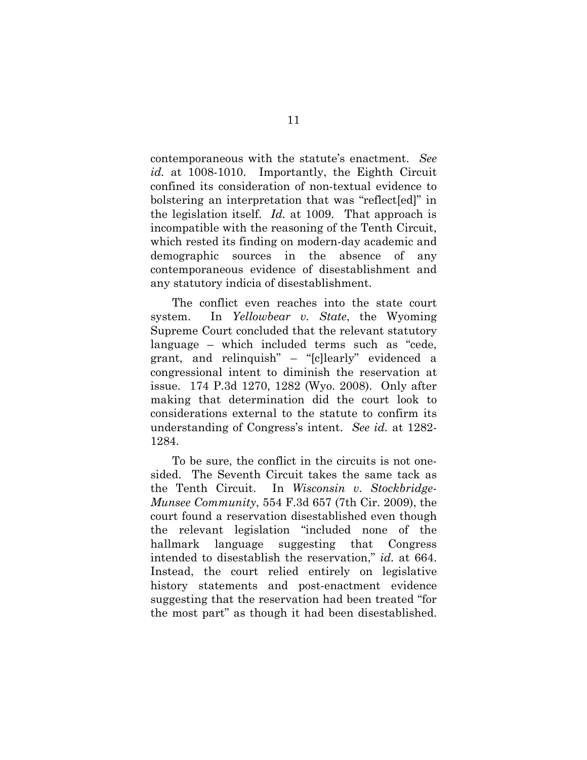contemporaneous with the statute's enactment. See id. at 1008-1010. Importantly, the Eighth Circuit confined its consideration of non-textual evidence to bolstering an interpretation that was "reflect[ed]" in the legislation itself. Id. at 1009. That approach is incompatible with the reasoning of the Tenth Circuit, which rested its finding on modern-day academic and demographic sources in the absence of any contemporaneous evidence of disestablishment and any statutory indicia of disestablishment.

The conflict even reaches into the state court system. In Yellowbear v. State, the Wyoming Supreme Court concluded that the relevant statutory language – which included terms such as "cede, grant, and relinquish" – "[c]learly" evidenced a congressional intent to diminish the reservation at issue. 174 P.3d 1270, 1282 (Wyo. 2008). Only after making that determination did the court look to considerations external to the statute to confirm its understanding of Congress's intent. See id. at 1282- 1284.

To be sure, the conflict in the circuits is not onesided. The Seventh Circuit takes the same tack as the Tenth Circuit. In Wisconsin v. Stockbridge-Munsee Community, 554 F.3d 657 (7th Cir. 2009), the court found a reservation disestablished even though the relevant legislation "included none of the hallmark language suggesting that Congress intended to disestablish the reservation," id. at 664. Instead, the court relied entirely on legislative history statements and post-enactment evidence suggesting that the reservation had been treated "for the most part" as though it had been disestablished.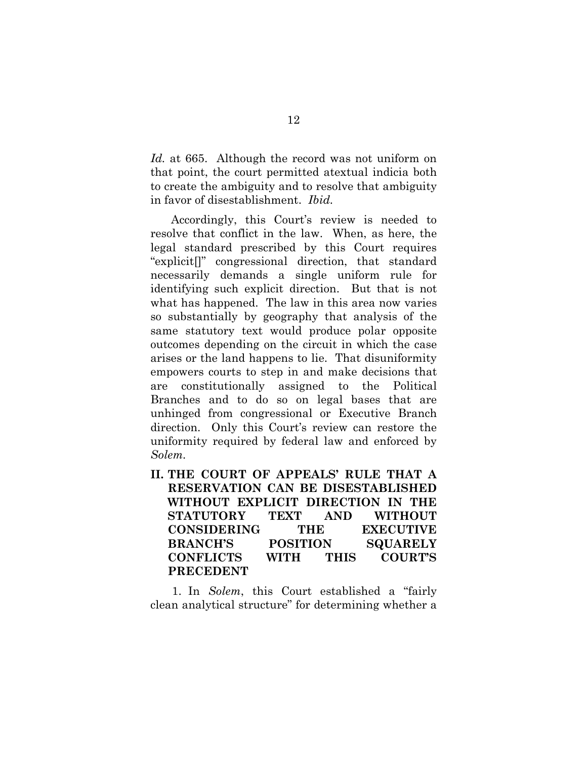Id. at 665. Although the record was not uniform on that point, the court permitted atextual indicia both to create the ambiguity and to resolve that ambiguity in favor of disestablishment. Ibid.

Accordingly, this Court's review is needed to resolve that conflict in the law. When, as here, the legal standard prescribed by this Court requires "explicit[]" congressional direction, that standard necessarily demands a single uniform rule for identifying such explicit direction. But that is not what has happened. The law in this area now varies so substantially by geography that analysis of the same statutory text would produce polar opposite outcomes depending on the circuit in which the case arises or the land happens to lie. That disuniformity empowers courts to step in and make decisions that are constitutionally assigned to the Political Branches and to do so on legal bases that are unhinged from congressional or Executive Branch direction. Only this Court's review can restore the uniformity required by federal law and enforced by Solem.

II. THE COURT OF APPEALS' RULE THAT A RESERVATION CAN BE DISESTABLISHED WITHOUT EXPLICIT DIRECTION IN THE STATUTORY TEXT AND WITHOUT CONSIDERING THE EXECUTIVE BRANCH'S POSITION SQUARELY CONFLICTS WITH THIS COURT'S PRECEDENT

1. In Solem, this Court established a "fairly clean analytical structure" for determining whether a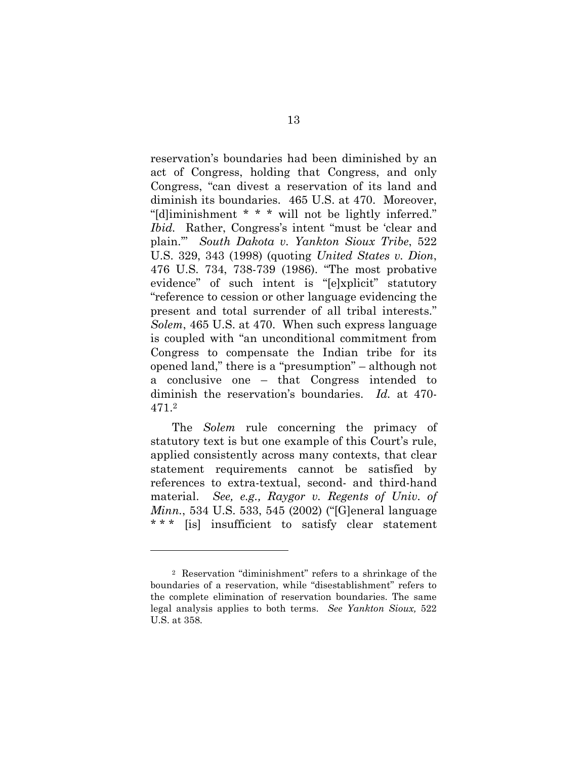reservation's boundaries had been diminished by an act of Congress, holding that Congress, and only Congress, "can divest a reservation of its land and diminish its boundaries. 465 U.S. at 470. Moreover, "[d]iminishment \* \* \* will not be lightly inferred." Ibid. Rather, Congress's intent "must be 'clear and plain.'" South Dakota v. Yankton Sioux Tribe, 522 U.S. 329, 343 (1998) (quoting United States v. Dion, 476 U.S. 734, 738-739 (1986). "The most probative evidence" of such intent is "[e]xplicit" statutory "reference to cession or other language evidencing the present and total surrender of all tribal interests." Solem, 465 U.S. at 470. When such express language is coupled with "an unconditional commitment from Congress to compensate the Indian tribe for its opened land," there is a "presumption" – although not a conclusive one – that Congress intended to diminish the reservation's boundaries. Id. at 470- 471.<sup>2</sup>

The *Solem* rule concerning the primacy of statutory text is but one example of this Court's rule, applied consistently across many contexts, that clear statement requirements cannot be satisfied by references to extra-textual, second- and third-hand material. See, e.g., Raygor v. Regents of Univ. of Minn., 534 U.S. 533, 545 (2002) ("[G]eneral language \* \* \* [is] insufficient to satisfy clear statement

<sup>2</sup> Reservation "diminishment" refers to a shrinkage of the boundaries of a reservation, while "disestablishment" refers to the complete elimination of reservation boundaries. The same legal analysis applies to both terms. See Yankton Sioux, 522 U.S. at 358.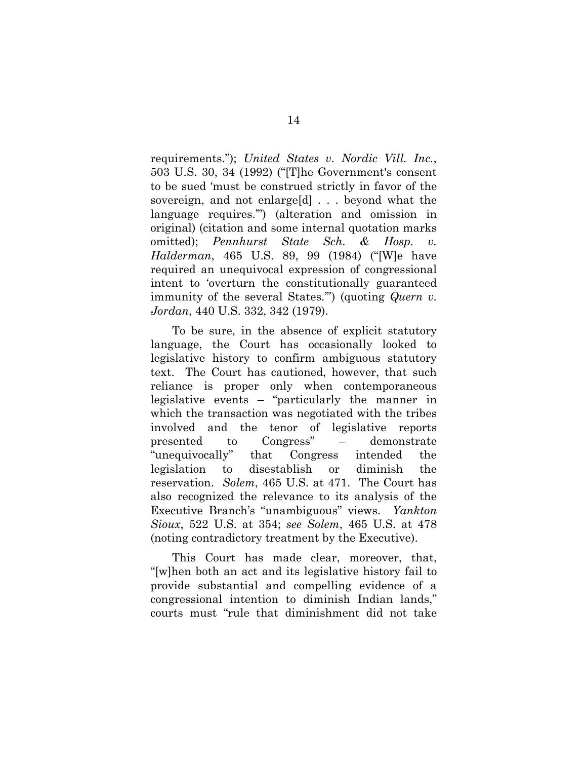requirements."); United States v. Nordic Vill. Inc., 503 U.S. 30, 34 (1992) ("[T]he Government's consent to be sued 'must be construed strictly in favor of the sovereign, and not enlarge[d] . . . beyond what the language requires.'") (alteration and omission in original) (citation and some internal quotation marks omitted); *Pennhurst State Sch. & Hosp. v.* Halderman, 465 U.S. 89, 99 (1984) ("[W]e have required an unequivocal expression of congressional intent to 'overturn the constitutionally guaranteed immunity of the several States.") (quoting Quern v. Jordan, 440 U.S. 332, 342 (1979).

To be sure, in the absence of explicit statutory language, the Court has occasionally looked to legislative history to confirm ambiguous statutory text. The Court has cautioned, however, that such reliance is proper only when contemporaneous legislative events – "particularly the manner in which the transaction was negotiated with the tribes involved and the tenor of legislative reports presented to Congress" – demonstrate "unequivocally" that Congress intended the legislation to disestablish or diminish the reservation. Solem, 465 U.S. at 471. The Court has also recognized the relevance to its analysis of the Executive Branch's "unambiguous" views. Yankton Sioux, 522 U.S. at 354; see Solem, 465 U.S. at 478 (noting contradictory treatment by the Executive).

This Court has made clear, moreover, that, "[w]hen both an act and its legislative history fail to provide substantial and compelling evidence of a congressional intention to diminish Indian lands," courts must "rule that diminishment did not take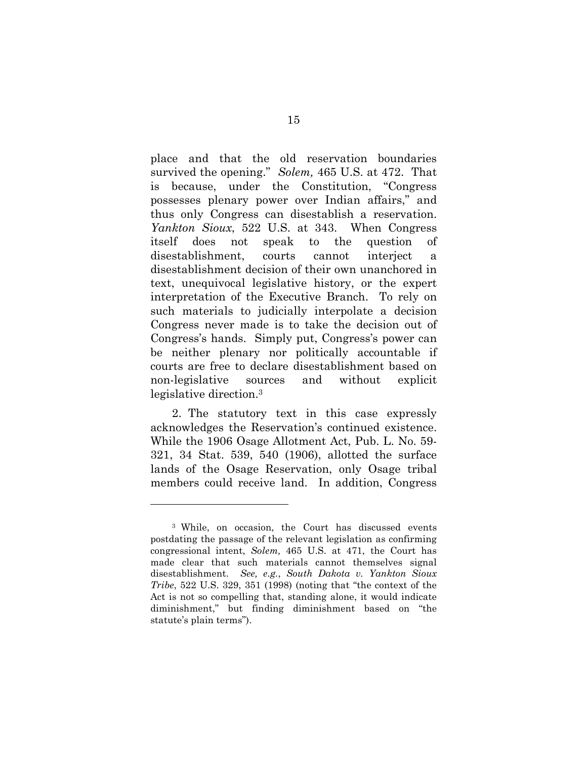place and that the old reservation boundaries survived the opening." Solem, 465 U.S. at 472. That is because, under the Constitution, "Congress possesses plenary power over Indian affairs," and thus only Congress can disestablish a reservation. Yankton Sioux, 522 U.S. at 343. When Congress itself does not speak to the question of disestablishment, courts cannot interject a disestablishment decision of their own unanchored in text, unequivocal legislative history, or the expert interpretation of the Executive Branch. To rely on such materials to judicially interpolate a decision Congress never made is to take the decision out of Congress's hands. Simply put, Congress's power can be neither plenary nor politically accountable if courts are free to declare disestablishment based on non-legislative sources and without explicit legislative direction.<sup>3</sup>

2. The statutory text in this case expressly acknowledges the Reservation's continued existence. While the 1906 Osage Allotment Act, Pub. L. No. 59- 321, 34 Stat. 539, 540 (1906), allotted the surface lands of the Osage Reservation, only Osage tribal members could receive land. In addition, Congress

<sup>3</sup> While, on occasion, the Court has discussed events postdating the passage of the relevant legislation as confirming congressional intent, Solem, 465 U.S. at 471, the Court has made clear that such materials cannot themselves signal disestablishment. See, e.g., South Dakota v. Yankton Sioux Tribe, 522 U.S. 329, 351 (1998) (noting that "the context of the Act is not so compelling that, standing alone, it would indicate diminishment," but finding diminishment based on "the statute's plain terms").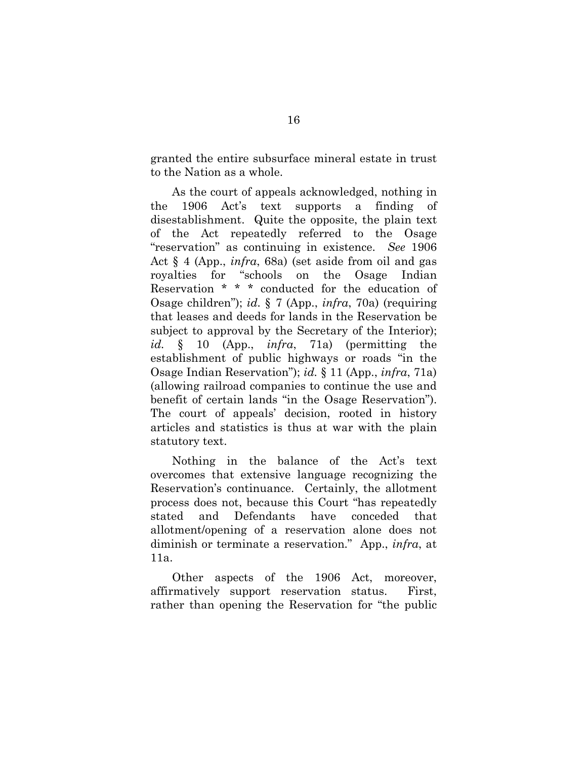granted the entire subsurface mineral estate in trust to the Nation as a whole.

As the court of appeals acknowledged, nothing in the 1906 Act's text supports a finding of disestablishment. Quite the opposite, the plain text of the Act repeatedly referred to the Osage "reservation" as continuing in existence. See 1906 Act § 4 (App., infra, 68a) (set aside from oil and gas royalties for "schools on the Osage Indian Reservation \* \* \* conducted for the education of Osage children"); id.  $\S$  7 (App., *infra*, 70a) (requiring that leases and deeds for lands in the Reservation be subject to approval by the Secretary of the Interior); id. § 10 (App., *infra*, 71a) (permitting the establishment of public highways or roads "in the Osage Indian Reservation"); id. § 11 (App., infra, 71a) (allowing railroad companies to continue the use and benefit of certain lands "in the Osage Reservation"). The court of appeals' decision, rooted in history articles and statistics is thus at war with the plain statutory text.

Nothing in the balance of the Act's text overcomes that extensive language recognizing the Reservation's continuance. Certainly, the allotment process does not, because this Court "has repeatedly stated and Defendants have conceded that allotment/opening of a reservation alone does not diminish or terminate a reservation." App., infra, at 11a.

Other aspects of the 1906 Act, moreover, affirmatively support reservation status. First, rather than opening the Reservation for "the public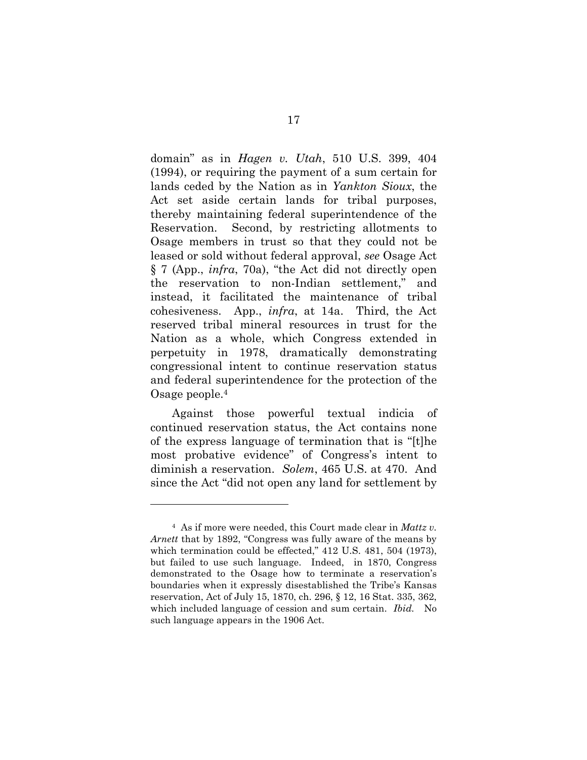domain" as in Hagen v. Utah, 510 U.S. 399, 404 (1994), or requiring the payment of a sum certain for lands ceded by the Nation as in Yankton Sioux, the Act set aside certain lands for tribal purposes, thereby maintaining federal superintendence of the Reservation. Second, by restricting allotments to Osage members in trust so that they could not be leased or sold without federal approval, see Osage Act § 7 (App., infra, 70a), "the Act did not directly open the reservation to non-Indian settlement," and instead, it facilitated the maintenance of tribal cohesiveness. App., infra, at 14a. Third, the Act reserved tribal mineral resources in trust for the Nation as a whole, which Congress extended in perpetuity in 1978, dramatically demonstrating congressional intent to continue reservation status and federal superintendence for the protection of the Osage people.<sup>4</sup>

Against those powerful textual indicia of continued reservation status, the Act contains none of the express language of termination that is "[t]he most probative evidence" of Congress's intent to diminish a reservation. Solem, 465 U.S. at 470. And since the Act "did not open any land for settlement by

<sup>&</sup>lt;sup>4</sup> As if more were needed, this Court made clear in Mattz v. Arnett that by 1892, "Congress was fully aware of the means by which termination could be effected," 412 U.S. 481, 504 (1973), but failed to use such language. Indeed, in 1870, Congress demonstrated to the Osage how to terminate a reservation's boundaries when it expressly disestablished the Tribe's Kansas reservation, Act of July 15, 1870, ch. 296, § 12, 16 Stat. 335, 362, which included language of cession and sum certain. *Ibid.* No such language appears in the 1906 Act.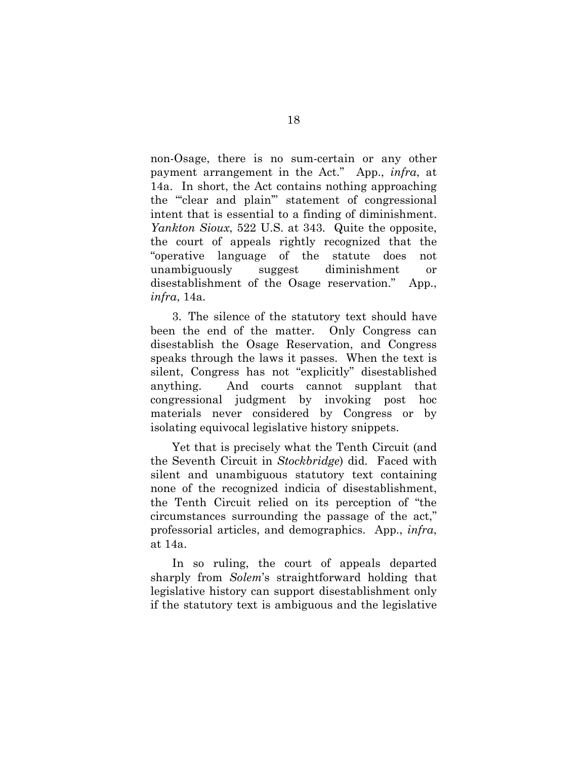non-Osage, there is no sum-certain or any other payment arrangement in the Act." App., infra, at 14a. In short, the Act contains nothing approaching the "'clear and plain'" statement of congressional intent that is essential to a finding of diminishment. Yankton Sioux, 522 U.S. at 343. Quite the opposite, the court of appeals rightly recognized that the "operative language of the statute does not unambiguously suggest diminishment or disestablishment of the Osage reservation." App., infra, 14a.

3. The silence of the statutory text should have been the end of the matter. Only Congress can disestablish the Osage Reservation, and Congress speaks through the laws it passes. When the text is silent, Congress has not "explicitly" disestablished anything. And courts cannot supplant that congressional judgment by invoking post hoc materials never considered by Congress or by isolating equivocal legislative history snippets.

Yet that is precisely what the Tenth Circuit (and the Seventh Circuit in Stockbridge) did. Faced with silent and unambiguous statutory text containing none of the recognized indicia of disestablishment, the Tenth Circuit relied on its perception of "the circumstances surrounding the passage of the act," professorial articles, and demographics. App., infra, at 14a.

In so ruling, the court of appeals departed sharply from Solem's straightforward holding that legislative history can support disestablishment only if the statutory text is ambiguous and the legislative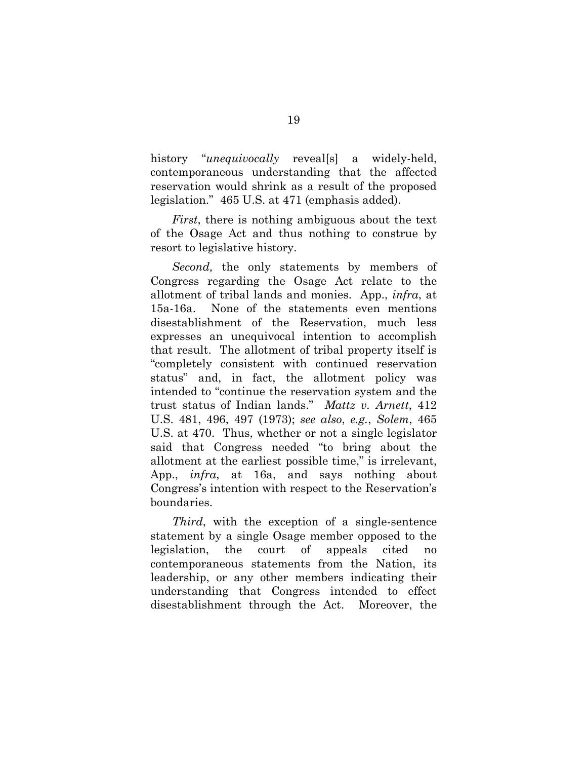history "*unequivocally* reveal[s] a widely-held, contemporaneous understanding that the affected reservation would shrink as a result of the proposed legislation." 465 U.S. at 471 (emphasis added).

First, there is nothing ambiguous about the text of the Osage Act and thus nothing to construe by resort to legislative history.

Second, the only statements by members of Congress regarding the Osage Act relate to the allotment of tribal lands and monies. App., infra, at 15a-16a. None of the statements even mentions disestablishment of the Reservation, much less expresses an unequivocal intention to accomplish that result. The allotment of tribal property itself is "completely consistent with continued reservation status" and, in fact, the allotment policy was intended to "continue the reservation system and the trust status of Indian lands." Mattz v. Arnett, 412 U.S. 481, 496, 497 (1973); see also, e.g., Solem, 465 U.S. at 470. Thus, whether or not a single legislator said that Congress needed "to bring about the allotment at the earliest possible time," is irrelevant, App., *infra*, at 16a, and says nothing about Congress's intention with respect to the Reservation's boundaries.

Third, with the exception of a single-sentence statement by a single Osage member opposed to the legislation, the court of appeals cited no contemporaneous statements from the Nation, its leadership, or any other members indicating their understanding that Congress intended to effect disestablishment through the Act. Moreover, the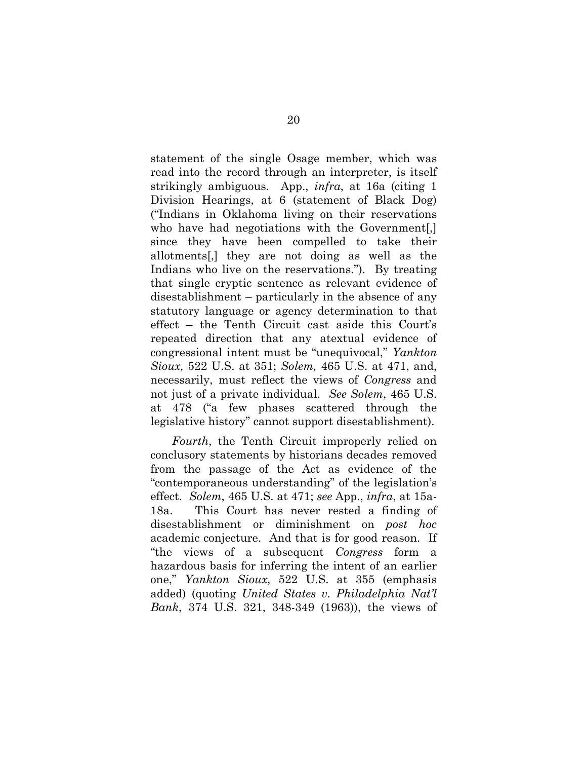statement of the single Osage member, which was read into the record through an interpreter, is itself strikingly ambiguous. App., infra, at 16a (citing 1 Division Hearings, at 6 (statement of Black Dog) ("Indians in Oklahoma living on their reservations who have had negotiations with the Government[,] since they have been compelled to take their allotments[,] they are not doing as well as the Indians who live on the reservations."). By treating that single cryptic sentence as relevant evidence of disestablishment – particularly in the absence of any statutory language or agency determination to that effect – the Tenth Circuit cast aside this Court's repeated direction that any atextual evidence of congressional intent must be "unequivocal," Yankton Sioux, 522 U.S. at 351; Solem, 465 U.S. at 471, and, necessarily, must reflect the views of Congress and not just of a private individual. See Solem, 465 U.S. at 478 ("a few phases scattered through the legislative history" cannot support disestablishment).

Fourth, the Tenth Circuit improperly relied on conclusory statements by historians decades removed from the passage of the Act as evidence of the "contemporaneous understanding" of the legislation's effect. Solem, 465 U.S. at 471; see App., infra, at 15a-18a. This Court has never rested a finding of disestablishment or diminishment on post hoc academic conjecture. And that is for good reason. If "the views of a subsequent Congress form a hazardous basis for inferring the intent of an earlier one," Yankton Sioux, 522 U.S. at 355 (emphasis added) (quoting United States v. Philadelphia Nat'l Bank, 374 U.S. 321, 348-349 (1963)), the views of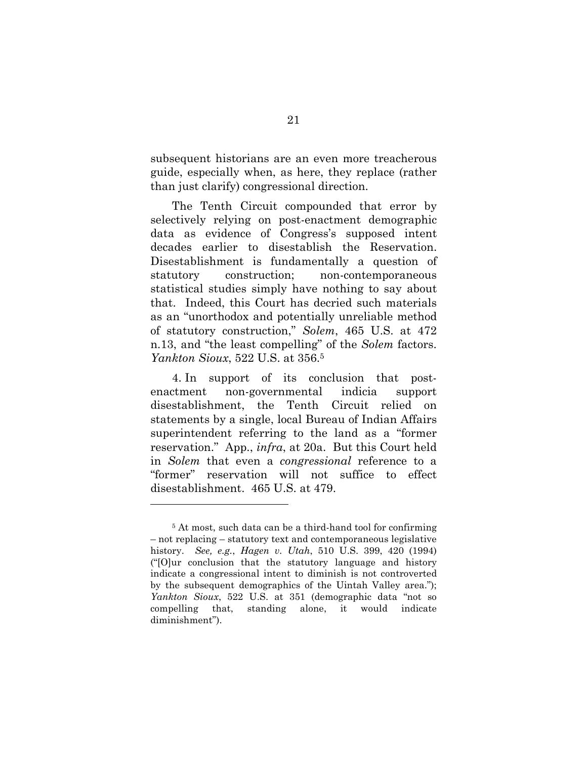subsequent historians are an even more treacherous guide, especially when, as here, they replace (rather than just clarify) congressional direction.

The Tenth Circuit compounded that error by selectively relying on post-enactment demographic data as evidence of Congress's supposed intent decades earlier to disestablish the Reservation. Disestablishment is fundamentally a question of statutory construction; non-contemporaneous statistical studies simply have nothing to say about that. Indeed, this Court has decried such materials as an "unorthodox and potentially unreliable method of statutory construction," Solem, 465 U.S. at 472 n.13, and "the least compelling" of the Solem factors. Yankton Sioux, 522 U.S. at 356.<sup>5</sup>

4. In support of its conclusion that postenactment non-governmental indicia support disestablishment, the Tenth Circuit relied on statements by a single, local Bureau of Indian Affairs superintendent referring to the land as a "former reservation." App., infra, at 20a. But this Court held in Solem that even a congressional reference to a "former" reservation will not suffice to effect disestablishment. 465 U.S. at 479.

<sup>5</sup> At most, such data can be a third-hand tool for confirming – not replacing – statutory text and contemporaneous legislative history. See, e.g., Hagen v. Utah, 510 U.S. 399, 420 (1994) ("[O]ur conclusion that the statutory language and history indicate a congressional intent to diminish is not controverted by the subsequent demographics of the Uintah Valley area."); Yankton Sioux, 522 U.S. at 351 (demographic data "not so compelling that, standing alone, it would indicate diminishment").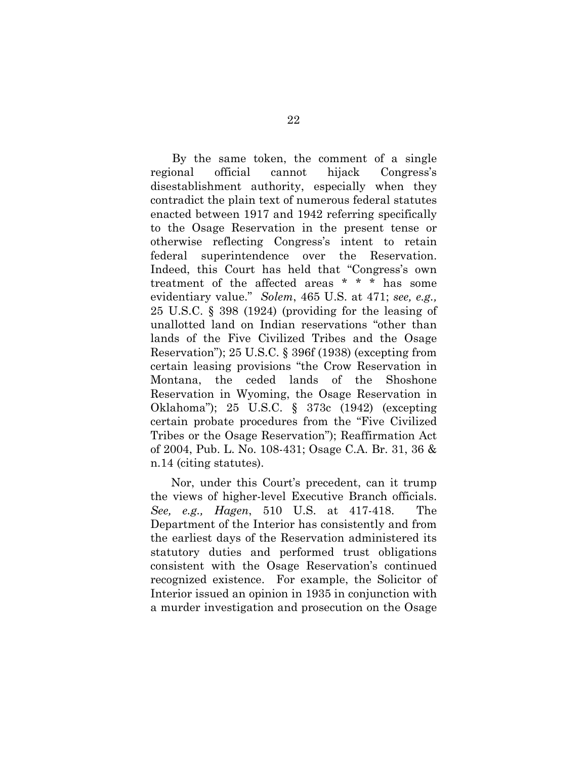By the same token, the comment of a single regional official cannot hijack Congress's disestablishment authority, especially when they contradict the plain text of numerous federal statutes enacted between 1917 and 1942 referring specifically to the Osage Reservation in the present tense or otherwise reflecting Congress's intent to retain federal superintendence over the Reservation. Indeed, this Court has held that "Congress's own treatment of the affected areas \* \* \* has some evidentiary value." Solem, 465 U.S. at 471; see, e.g., 25 U.S.C. § 398 (1924) (providing for the leasing of unallotted land on Indian reservations "other than lands of the Five Civilized Tribes and the Osage Reservation"); 25 U.S.C. § 396f (1938) (excepting from certain leasing provisions "the Crow Reservation in Montana, the ceded lands of the Shoshone Reservation in Wyoming, the Osage Reservation in Oklahoma"); 25 U.S.C. § 373c (1942) (excepting certain probate procedures from the "Five Civilized Tribes or the Osage Reservation"); Reaffirmation Act of 2004, Pub. L. No. 108-431; Osage C.A. Br. 31, 36 & n.14 (citing statutes).

Nor, under this Court's precedent, can it trump the views of higher-level Executive Branch officials. See, e.g., Hagen, 510 U.S. at 417-418. The Department of the Interior has consistently and from the earliest days of the Reservation administered its statutory duties and performed trust obligations consistent with the Osage Reservation's continued recognized existence. For example, the Solicitor of Interior issued an opinion in 1935 in conjunction with a murder investigation and prosecution on the Osage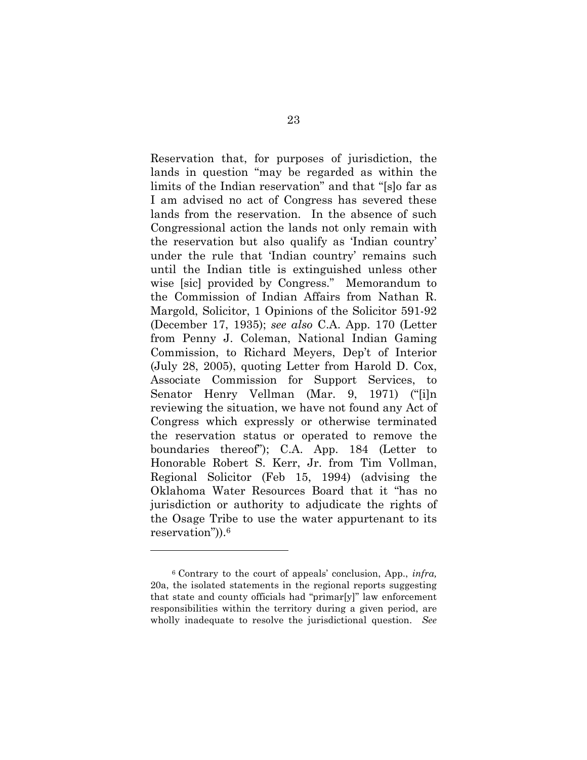Reservation that, for purposes of jurisdiction, the lands in question "may be regarded as within the limits of the Indian reservation" and that "[s]o far as I am advised no act of Congress has severed these lands from the reservation. In the absence of such Congressional action the lands not only remain with the reservation but also qualify as 'Indian country' under the rule that 'Indian country' remains such until the Indian title is extinguished unless other wise [sic] provided by Congress." Memorandum to the Commission of Indian Affairs from Nathan R. Margold, Solicitor, 1 Opinions of the Solicitor 591-92 (December 17, 1935); see also C.A. App. 170 (Letter from Penny J. Coleman, National Indian Gaming Commission, to Richard Meyers, Dep't of Interior (July 28, 2005), quoting Letter from Harold D. Cox, Associate Commission for Support Services, to Senator Henry Vellman (Mar. 9, 1971) ("[i]n reviewing the situation, we have not found any Act of Congress which expressly or otherwise terminated the reservation status or operated to remove the boundaries thereof"); C.A. App. 184 (Letter to Honorable Robert S. Kerr, Jr. from Tim Vollman, Regional Solicitor (Feb 15, 1994) (advising the Oklahoma Water Resources Board that it "has no jurisdiction or authority to adjudicate the rights of the Osage Tribe to use the water appurtenant to its reservation")).<sup>6</sup>

 $6$  Contrary to the court of appeals' conclusion, App.,  $\text{intra}$ , 20a, the isolated statements in the regional reports suggesting that state and county officials had "primar[y]" law enforcement responsibilities within the territory during a given period, are wholly inadequate to resolve the jurisdictional question. See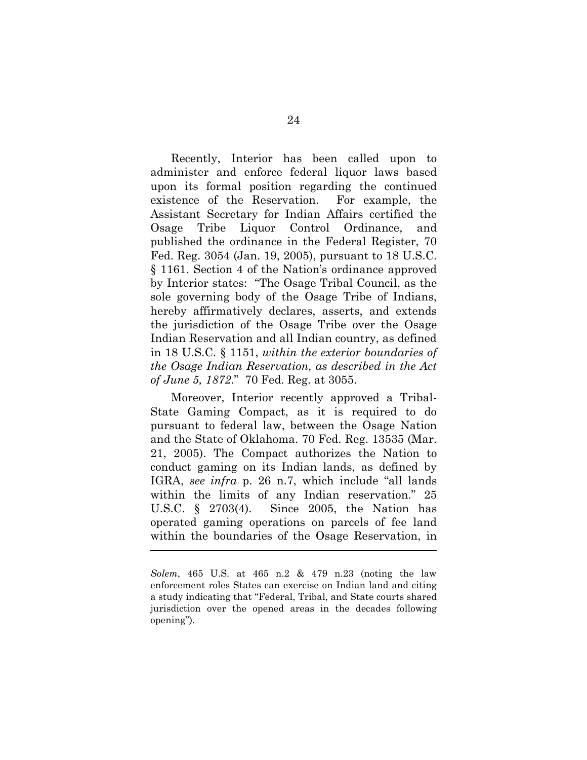Recently, Interior has been called upon to administer and enforce federal liquor laws based upon its formal position regarding the continued existence of the Reservation. For example, the Assistant Secretary for Indian Affairs certified the Osage Tribe Liquor Control Ordinance, and published the ordinance in the Federal Register, 70 Fed. Reg. 3054 (Jan. 19, 2005), pursuant to 18 U.S.C. § 1161. Section 4 of the Nation's ordinance approved by Interior states: "The Osage Tribal Council, as the sole governing body of the Osage Tribe of Indians, hereby affirmatively declares, asserts, and extends the jurisdiction of the Osage Tribe over the Osage Indian Reservation and all Indian country, as defined in 18 U.S.C. § 1151, within the exterior boundaries of the Osage Indian Reservation, as described in the Act of June 5, 1872." 70 Fed. Reg. at 3055.

Moreover, Interior recently approved a Tribal-State Gaming Compact, as it is required to do pursuant to federal law, between the Osage Nation and the State of Oklahoma. 70 Fed. Reg. 13535 (Mar. 21, 2005). The Compact authorizes the Nation to conduct gaming on its Indian lands, as defined by IGRA, see infra p. 26 n.7, which include "all lands within the limits of any Indian reservation." 25 U.S.C. § 2703(4). Since 2005, the Nation has operated gaming operations on parcels of fee land within the boundaries of the Osage Reservation, in

Solem, 465 U.S. at 465 n.2 & 479 n.23 (noting the law enforcement roles States can exercise on Indian land and citing a study indicating that "Federal, Tribal, and State courts shared jurisdiction over the opened areas in the decades following opening").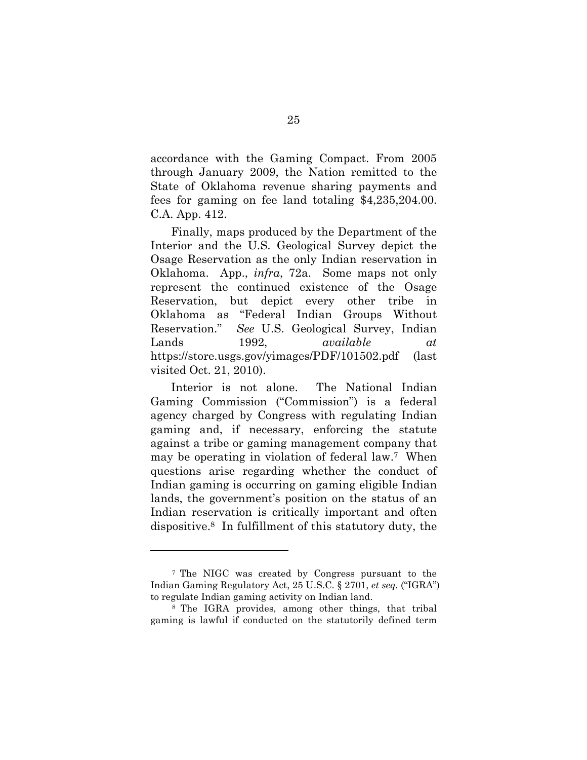accordance with the Gaming Compact. From 2005 through January 2009, the Nation remitted to the State of Oklahoma revenue sharing payments and fees for gaming on fee land totaling \$4,235,204.00. C.A. App. 412.

Finally, maps produced by the Department of the Interior and the U.S. Geological Survey depict the Osage Reservation as the only Indian reservation in Oklahoma. App., infra, 72a. Some maps not only represent the continued existence of the Osage Reservation, but depict every other tribe in Oklahoma as "Federal Indian Groups Without Reservation." See U.S. Geological Survey, Indian Lands 1992, available at https://store.usgs.gov/yimages/PDF/101502.pdf (last visited Oct. 21, 2010).

Interior is not alone. The National Indian Gaming Commission ("Commission") is a federal agency charged by Congress with regulating Indian gaming and, if necessary, enforcing the statute against a tribe or gaming management company that may be operating in violation of federal law.7 When questions arise regarding whether the conduct of Indian gaming is occurring on gaming eligible Indian lands, the government's position on the status of an Indian reservation is critically important and often dispositive.8 In fulfillment of this statutory duty, the

<sup>7</sup> The NIGC was created by Congress pursuant to the Indian Gaming Regulatory Act, 25 U.S.C. § 2701, et seq. ("IGRA") to regulate Indian gaming activity on Indian land.

<sup>8</sup> The IGRA provides, among other things, that tribal gaming is lawful if conducted on the statutorily defined term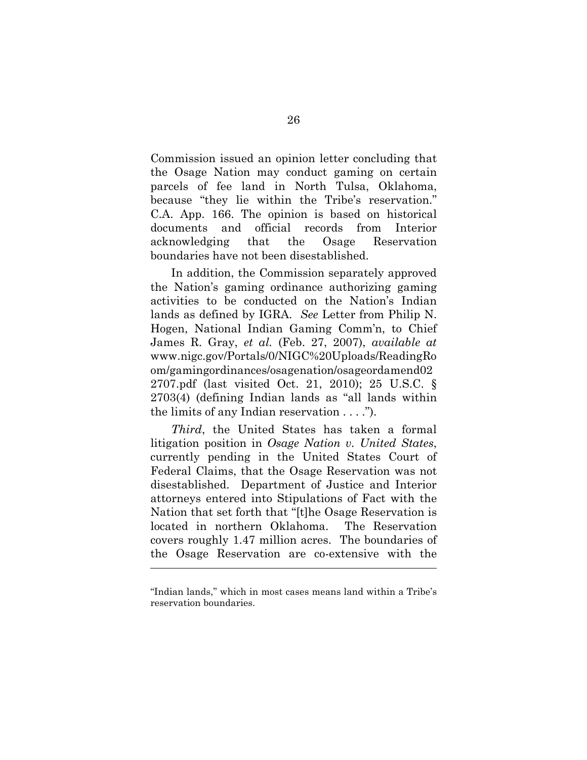Commission issued an opinion letter concluding that the Osage Nation may conduct gaming on certain parcels of fee land in North Tulsa, Oklahoma, because "they lie within the Tribe's reservation." C.A. App. 166. The opinion is based on historical documents and official records from Interior acknowledging that the Osage Reservation boundaries have not been disestablished.

In addition, the Commission separately approved the Nation's gaming ordinance authorizing gaming activities to be conducted on the Nation's Indian lands as defined by IGRA. See Letter from Philip N. Hogen, National Indian Gaming Comm'n, to Chief James R. Gray, et al. (Feb. 27, 2007), available at www.nigc.gov/Portals/0/NIGC%20Uploads/ReadingRo om/gamingordinances/osagenation/osageordamend02 2707.pdf (last visited Oct. 21, 2010); 25 U.S.C. § 2703(4) (defining Indian lands as "all lands within the limits of any Indian reservation . . . .").

Third, the United States has taken a formal litigation position in Osage Nation v. United States, currently pending in the United States Court of Federal Claims, that the Osage Reservation was not disestablished. Department of Justice and Interior attorneys entered into Stipulations of Fact with the Nation that set forth that "[t]he Osage Reservation is located in northern Oklahoma. The Reservation covers roughly 1.47 million acres. The boundaries of the Osage Reservation are co-extensive with the

<sup>&</sup>quot;Indian lands," which in most cases means land within a Tribe's reservation boundaries.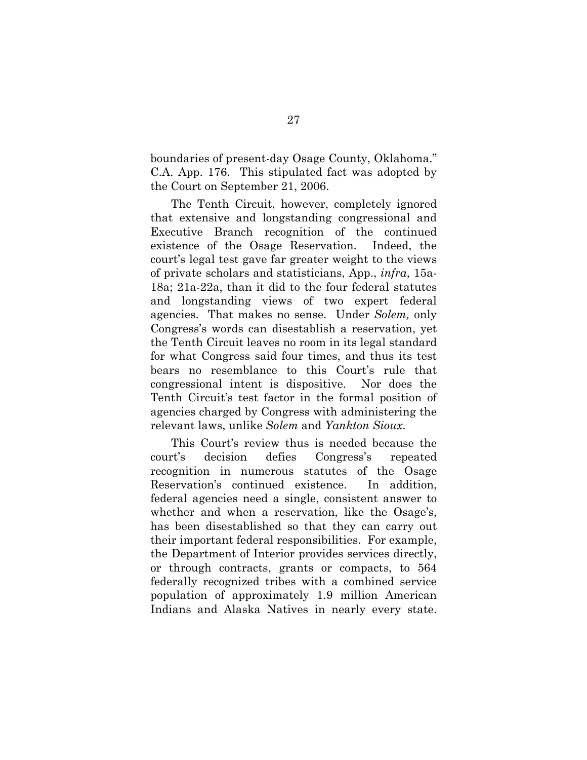boundaries of present-day Osage County, Oklahoma." C.A. App. 176. This stipulated fact was adopted by the Court on September 21, 2006.

The Tenth Circuit, however, completely ignored that extensive and longstanding congressional and Executive Branch recognition of the continued existence of the Osage Reservation. Indeed, the court's legal test gave far greater weight to the views of private scholars and statisticians, App., infra, 15a-18a; 21a-22a, than it did to the four federal statutes and longstanding views of two expert federal agencies. That makes no sense. Under Solem, only Congress's words can disestablish a reservation, yet the Tenth Circuit leaves no room in its legal standard for what Congress said four times, and thus its test bears no resemblance to this Court's rule that congressional intent is dispositive. Nor does the Tenth Circuit's test factor in the formal position of agencies charged by Congress with administering the relevant laws, unlike Solem and Yankton Sioux.

This Court's review thus is needed because the court's decision defies Congress's repeated recognition in numerous statutes of the Osage Reservation's continued existence. In addition, federal agencies need a single, consistent answer to whether and when a reservation, like the Osage's, has been disestablished so that they can carry out their important federal responsibilities. For example, the Department of Interior provides services directly, or through contracts, grants or compacts, to 564 federally recognized tribes with a combined service population of approximately 1.9 million American Indians and Alaska Natives in nearly every state.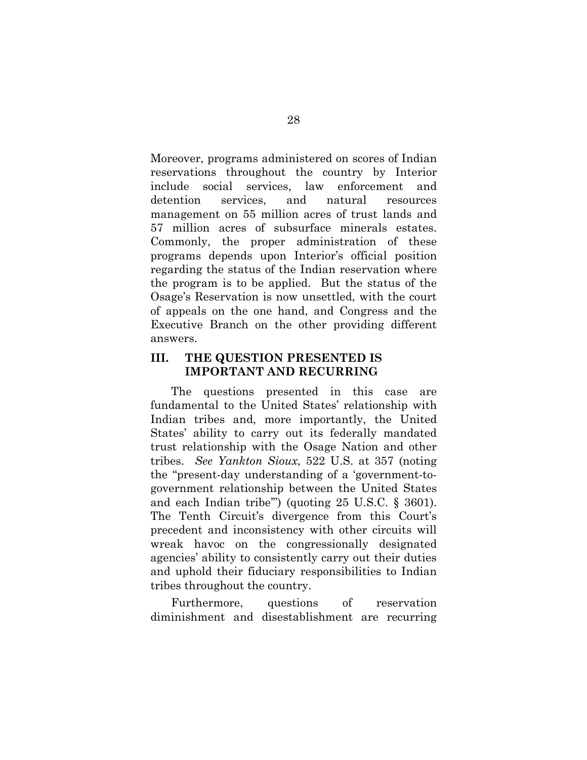Moreover, programs administered on scores of Indian reservations throughout the country by Interior include social services, law enforcement and detention services, and natural resources management on 55 million acres of trust lands and 57 million acres of subsurface minerals estates. Commonly, the proper administration of these programs depends upon Interior's official position regarding the status of the Indian reservation where the program is to be applied. But the status of the Osage's Reservation is now unsettled, with the court of appeals on the one hand, and Congress and the Executive Branch on the other providing different answers.

### III. THE QUESTION PRESENTED IS IMPORTANT AND RECURRING

The questions presented in this case are fundamental to the United States' relationship with Indian tribes and, more importantly, the United States' ability to carry out its federally mandated trust relationship with the Osage Nation and other tribes. See Yankton Sioux, 522 U.S. at 357 (noting the "present-day understanding of a 'government-togovernment relationship between the United States and each Indian tribe'") (quoting 25 U.S.C. § 3601). The Tenth Circuit's divergence from this Court's precedent and inconsistency with other circuits will wreak havoc on the congressionally designated agencies' ability to consistently carry out their duties and uphold their fiduciary responsibilities to Indian tribes throughout the country.

Furthermore, questions of reservation diminishment and disestablishment are recurring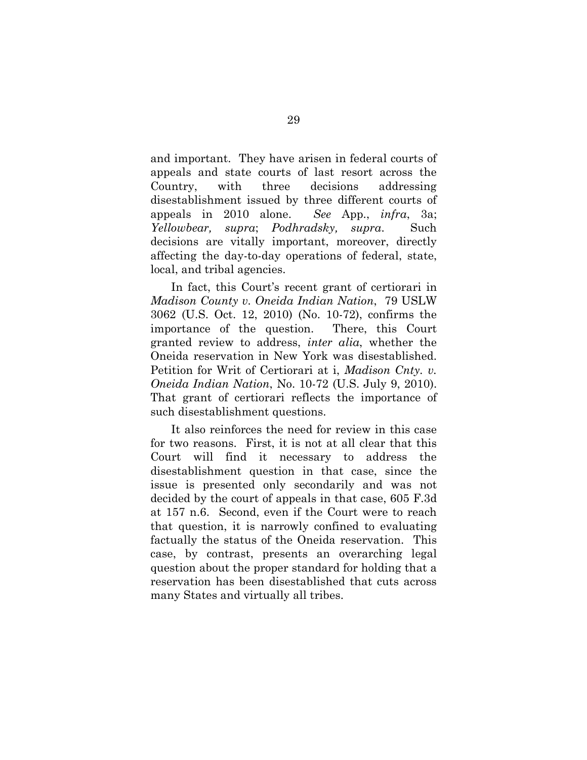and important. They have arisen in federal courts of appeals and state courts of last resort across the Country, with three decisions addressing disestablishment issued by three different courts of appeals in 2010 alone. See App., infra, 3a; Yellowbear, supra; Podhradsky, supra. Such decisions are vitally important, moreover, directly affecting the day-to-day operations of federal, state, local, and tribal agencies.

In fact, this Court's recent grant of certiorari in Madison County v. Oneida Indian Nation, 79 USLW 3062 (U.S. Oct. 12, 2010) (No. 10-72), confirms the importance of the question. There, this Court granted review to address, inter alia, whether the Oneida reservation in New York was disestablished. Petition for Writ of Certiorari at i, Madison Cnty. v. Oneida Indian Nation, No. 10-72 (U.S. July 9, 2010). That grant of certiorari reflects the importance of such disestablishment questions.

It also reinforces the need for review in this case for two reasons. First, it is not at all clear that this Court will find it necessary to address the disestablishment question in that case, since the issue is presented only secondarily and was not decided by the court of appeals in that case, 605 F.3d at 157 n.6. Second, even if the Court were to reach that question, it is narrowly confined to evaluating factually the status of the Oneida reservation. This case, by contrast, presents an overarching legal question about the proper standard for holding that a reservation has been disestablished that cuts across many States and virtually all tribes.